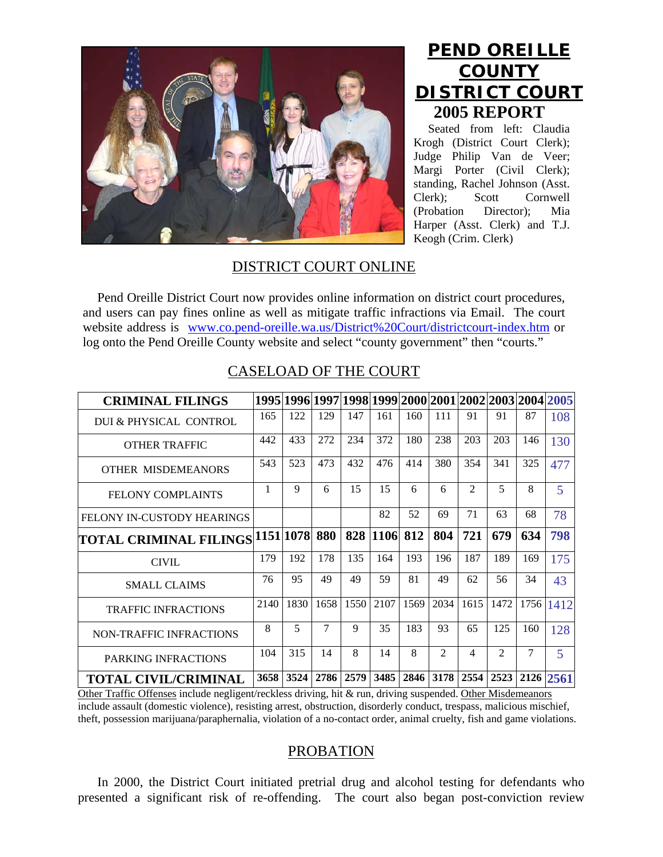

## **PEND OREILLE COUNTY DISTRICT COURT 2005 REPORT**

Seated from left: Claudia Krogh (District Court Clerk); Judge Philip Van de Veer; Margi Porter (Civil Clerk); standing, Rachel Johnson (Asst. Clerk); Scott Cornwell (Probation Director); Mia Harper (Asst. Clerk) and T.J. Keogh (Crim. Clerk)

## DISTRICT COURT ONLINE

Pend Oreille District Court now provides online information on district court procedures, and users can pay fines online as well as mitigate traffic infractions via Email. The court website address is [www.co.pend-oreille.wa.us/District%20Court/districtcourt-index.htm](http://www.co.pend-oreille.wa.us/District%20Court/districtcourt-index.htm) or log onto the Pend Oreille County website and select "county government" then "courts."

| <b>CRIMINAL FILINGS</b>                     |      | 1995 1996 1997 1998 1999 2000 2001 2002 2003 2004 2005 |      |             |      |      |      |                |                |      |           |
|---------------------------------------------|------|--------------------------------------------------------|------|-------------|------|------|------|----------------|----------------|------|-----------|
| DUI & PHYSICAL CONTROL                      | 165  | 122                                                    | 129  | 147         | 161  | 160  | 111  | 91             | 91             | 87   | 108       |
| <b>OTHER TRAFFIC</b>                        | 442  | 433                                                    | 272  | 234         | 372  | 180  | 238  | 203            | 203            | 146  | 130       |
| <b>OTHER MISDEMEANORS</b>                   | 543  | 523                                                    | 473  | 432         | 476  | 414  | 380  | 354            | 341            | 325  | 477       |
| <b>FELONY COMPLAINTS</b>                    | 1    | 9                                                      | 6    | 15          | 15   | 6    | 6    | $\mathfrak{D}$ | 5              | 8    | 5         |
| <b>FELONY IN-CUSTODY HEARINGS</b>           |      |                                                        |      |             | 82   | 52   | 69   | 71             | 63             | 68   | 78        |
| <b> TOTAL CRIMINAL FILINGS  1151  1078 </b> |      |                                                        | 880  | 828         | 1106 | 812  | 804  | 721            | 679            | 634  | 798       |
| <b>CIVIL</b>                                | 179  | 192                                                    | 178  | 135         | 164  | 193  | 196  | 187            | 189            | 169  | 175       |
| <b>SMALL CLAIMS</b>                         | 76   | 95                                                     | 49   | 49          | 59   | 81   | 49   | 62             | 56             | 34   | 43        |
| <b>TRAFFIC INFRACTIONS</b>                  | 2140 | 1830                                                   | 1658 | 1550        | 2107 | 1569 | 2034 | 1615           | 1472           | 1756 | 1412      |
| <b>NON-TRAFFIC INFRACTIONS</b>              | 8    | 5                                                      | 7    | $\mathbf Q$ | 35   | 183  | 93   | 65             | 125            | 160  | 128       |
| PARKING INFRACTIONS                         | 104  | 315                                                    | 14   | 8           | 14   | 8    | 2    | $\overline{4}$ | $\overline{2}$ | 7    | 5         |
| <b>TOTAL CIVIL/CRIMINAL</b>                 | 3658 | 3524                                                   | 2786 | 2579        | 3485 | 2846 | 3178 | 2554           | 2523           |      | 2126 2561 |

## CASELOAD OF THE COURT

Other Traffic Offenses include negligent/reckless driving, hit & run, driving suspended. Other Misdemeanors include assault (domestic violence), resisting arrest, obstruction, disorderly conduct, trespass, malicious mischief, theft, possession marijuana/paraphernalia, violation of a no-contact order, animal cruelty, fish and game violations.

## PROBATION

 In 2000, the District Court initiated pretrial drug and alcohol testing for defendants who presented a significant risk of re-offending. The court also began post-conviction review